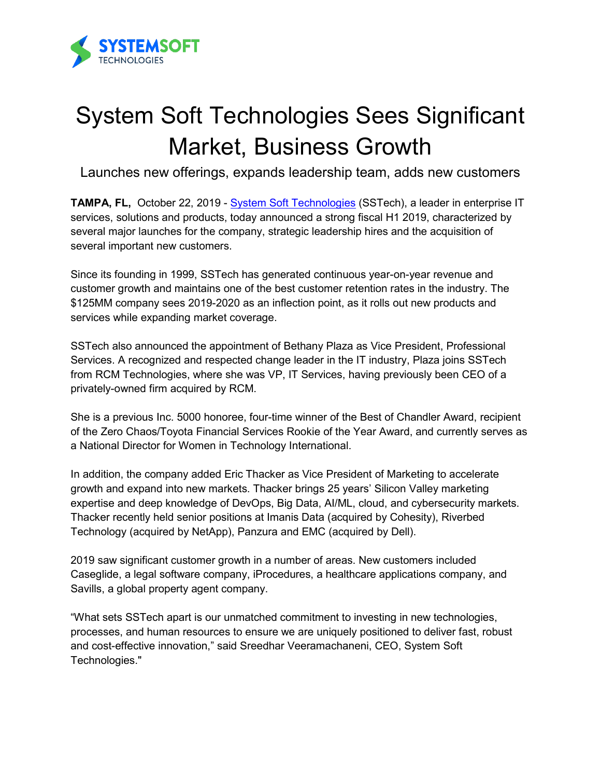

## System Soft Technologies Sees Significant Market, Business Growth

Launches new offerings, expands leadership team, adds new customers

**TAMPA, FL,** October 22, 2019 - [System Soft Technologies](https://sstech.us/) (SSTech), a leader in enterprise IT services, solutions and products, today announced a strong fiscal H1 2019, characterized by several major launches for the company, strategic leadership hires and the acquisition of several important new customers.

Since its founding in 1999, SSTech has generated continuous year-on-year revenue and customer growth and maintains one of the best customer retention rates in the industry. The \$125MM company sees 2019-2020 as an inflection point, as it rolls out new products and services while expanding market coverage.

SSTech also announced the appointment of Bethany Plaza as Vice President, Professional Services. A recognized and respected change leader in the IT industry, Plaza joins SSTech from RCM Technologies, where she was VP, IT Services, having previously been CEO of a privately-owned firm acquired by RCM.

She is a previous Inc. 5000 honoree, four-time winner of the Best of Chandler Award, recipient of the Zero Chaos/Toyota Financial Services Rookie of the Year Award, and currently serves as a National Director for Women in Technology International.

In addition, the company added Eric Thacker as Vice President of Marketing to accelerate growth and expand into new markets. Thacker brings 25 years' Silicon Valley marketing expertise and deep knowledge of DevOps, Big Data, AI/ML, cloud, and cybersecurity markets. Thacker recently held senior positions at Imanis Data (acquired by Cohesity), Riverbed Technology (acquired by NetApp), Panzura and EMC (acquired by Dell).

2019 saw significant customer growth in a number of areas. New customers included Caseglide, a legal software company, iProcedures, a healthcare applications company, and Savills, a global property agent company.

"What sets SSTech apart is our unmatched commitment to investing in new technologies, processes, and human resources to ensure we are uniquely positioned to deliver fast, robust and cost-effective innovation," said Sreedhar Veeramachaneni, CEO, System Soft Technologies."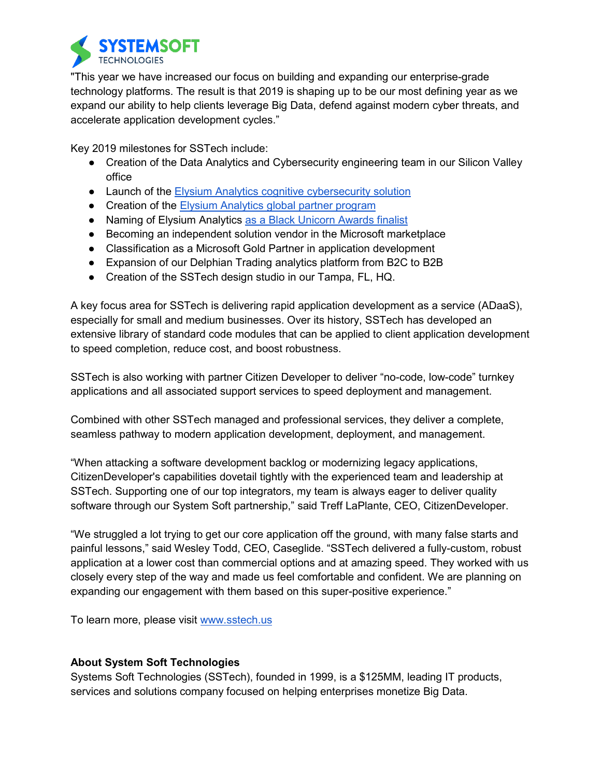

"This year we have increased our focus on building and expanding our enterprise-grade technology platforms. The result is that 2019 is shaping up to be our most defining year as we expand our ability to help clients leverage Big Data, defend against modern cyber threats, and accelerate application development cycles."

Key 2019 milestones for SSTech include:

- Creation of the Data Analytics and Cybersecurity engineering team in our Silicon Valley office
- Launch of the [Elysium Analytics](https://elysiumanalytics.us/elysium-analytics-launches-first-cognitive-siem/) cognitive cybersecurity solution
- Creation of the [Elysium Analytics global partner program](https://elysiumanalytics.us/elysium-analytics-launches-global-partner-program/)
- Naming of Elysium Analytics [as a Black Unicorn Awards finalist](https://elysiumanalytics.us/elysium-analytics-named-finalist-in-black-unicorn-awards-for-2019/)
- Becoming an independent solution vendor in the Microsoft marketplace
- Classification as a Microsoft Gold Partner in application development
- Expansion of our Delphian Trading analytics platform from B2C to B2B
- Creation of the SSTech design studio in our Tampa, FL, HQ.

A key focus area for SSTech is delivering rapid application development as a service (ADaaS), especially for small and medium businesses. Over its history, SSTech has developed an extensive library of standard code modules that can be applied to client application development to speed completion, reduce cost, and boost robustness.

SSTech is also working with partner Citizen Developer to deliver "no-code, low-code" turnkey applications and all associated support services to speed deployment and management.

Combined with other SSTech managed and professional services, they deliver a complete, seamless pathway to modern application development, deployment, and management.

"When attacking a software development backlog or modernizing legacy applications, CitizenDeveloper's capabilities dovetail tightly with the experienced team and leadership at SSTech. Supporting one of our top integrators, my team is always eager to deliver quality software through our System Soft partnership," said Treff LaPlante, CEO, CitizenDeveloper.

"We struggled a lot trying to get our core application off the ground, with many false starts and painful lessons," said Wesley Todd, CEO, Caseglide. "SSTech delivered a fully-custom, robust application at a lower cost than commercial options and at amazing speed. They worked with us closely every step of the way and made us feel comfortable and confident. We are planning on expanding our engagement with them based on this super-positive experience."

To learn more, please visit [www.sstech.us](http://www.sstech.us/)

## **About System Soft Technologies**

Systems Soft Technologies (SSTech), founded in 1999, is a \$125MM, leading IT products, services and solutions company focused on helping enterprises monetize Big Data.